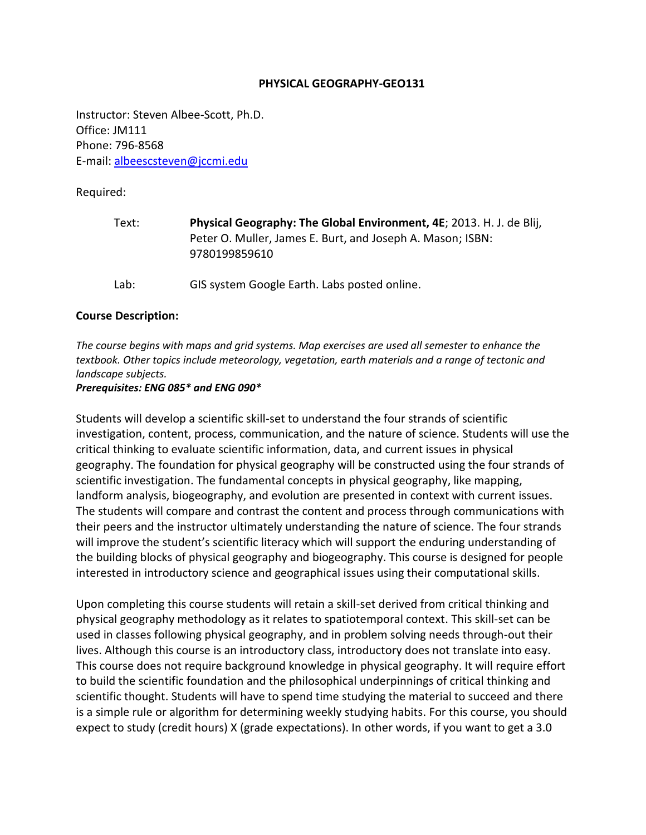#### **PHYSICAL GEOGRAPHY-GEO131**

Instructor: Steven Albee-Scott, Ph.D. Office: JM111 Phone: 796-8568 E-mail: [albeescsteven@jccmi.edu](mailto:albeescsteven@jccmi.edu)

Required:

| Text: | Physical Geography: The Global Environment, 4E; 2013. H. J. de Blij,<br>Peter O. Muller, James E. Burt, and Joseph A. Mason; ISBN:<br>9780199859610 |
|-------|-----------------------------------------------------------------------------------------------------------------------------------------------------|
| Lab:  | GIS system Google Earth. Labs posted online.                                                                                                        |

#### **Course Description:**

*The course begins with maps and grid systems. Map exercises are used all semester to enhance the textbook. Other topics include meteorology, vegetation, earth materials and a range of tectonic and landscape subjects.*

#### *Prerequisites: ENG 085\* and ENG 090\**

Students will develop a scientific skill-set to understand the four strands of scientific investigation, content, process, communication, and the nature of science. Students will use the critical thinking to evaluate scientific information, data, and current issues in physical geography. The foundation for physical geography will be constructed using the four strands of scientific investigation. The fundamental concepts in physical geography, like mapping, landform analysis, biogeography, and evolution are presented in context with current issues. The students will compare and contrast the content and process through communications with their peers and the instructor ultimately understanding the nature of science. The four strands will improve the student's scientific literacy which will support the enduring understanding of the building blocks of physical geography and biogeography. This course is designed for people interested in introductory science and geographical issues using their computational skills.

Upon completing this course students will retain a skill-set derived from critical thinking and physical geography methodology as it relates to spatiotemporal context. This skill-set can be used in classes following physical geography, and in problem solving needs through-out their lives. Although this course is an introductory class, introductory does not translate into easy. This course does not require background knowledge in physical geography. It will require effort to build the scientific foundation and the philosophical underpinnings of critical thinking and scientific thought. Students will have to spend time studying the material to succeed and there is a simple rule or algorithm for determining weekly studying habits. For this course, you should expect to study (credit hours) X (grade expectations). In other words, if you want to get a 3.0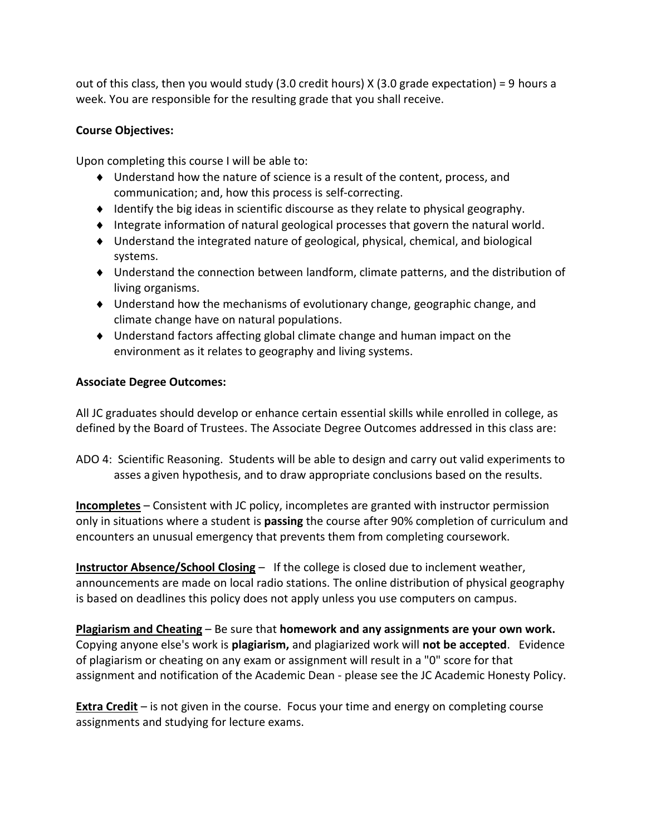out of this class, then you would study (3.0 credit hours) X (3.0 grade expectation) = 9 hours a week. You are responsible for the resulting grade that you shall receive.

## **Course Objectives:**

Upon completing this course I will be able to:

- Understand how the nature of science is a result of the content, process, and communication; and, how this process is self-correcting.
- $\bullet$  Identify the big ideas in scientific discourse as they relate to physical geography.
- Integrate information of natural geological processes that govern the natural world.
- Understand the integrated nature of geological, physical, chemical, and biological systems.
- Understand the connection between landform, climate patterns, and the distribution of living organisms.
- Understand how the mechanisms of evolutionary change, geographic change, and climate change have on natural populations.
- Understand factors affecting global climate change and human impact on the environment as it relates to geography and living systems.

# **Associate Degree Outcomes:**

All JC graduates should develop or enhance certain essential skills while enrolled in college, as defined by the Board of Trustees. The Associate Degree Outcomes addressed in this class are:

ADO 4: Scientific Reasoning. Students will be able to design and carry out valid experiments to asses a given hypothesis, and to draw appropriate conclusions based on the results.

**Incompletes** – Consistent with JC policy, incompletes are granted with instructor permission only in situations where a student is **passing** the course after 90% completion of curriculum and encounters an unusual emergency that prevents them from completing coursework.

**Instructor Absence/School Closing** – If the college is closed due to inclement weather, announcements are made on local radio stations. The online distribution of physical geography is based on deadlines this policy does not apply unless you use computers on campus.

**Plagiarism and Cheating** – Be sure that **homework and any assignments are your own work.** Copying anyone else's work is **plagiarism,** and plagiarized work will **not be accepted**. Evidence of plagiarism or cheating on any exam or assignment will result in a "0" score for that assignment and notification of the Academic Dean - please see the JC Academic Honesty Policy.

**Extra Credit** – is not given in the course. Focus your time and energy on completing course assignments and studying for lecture exams.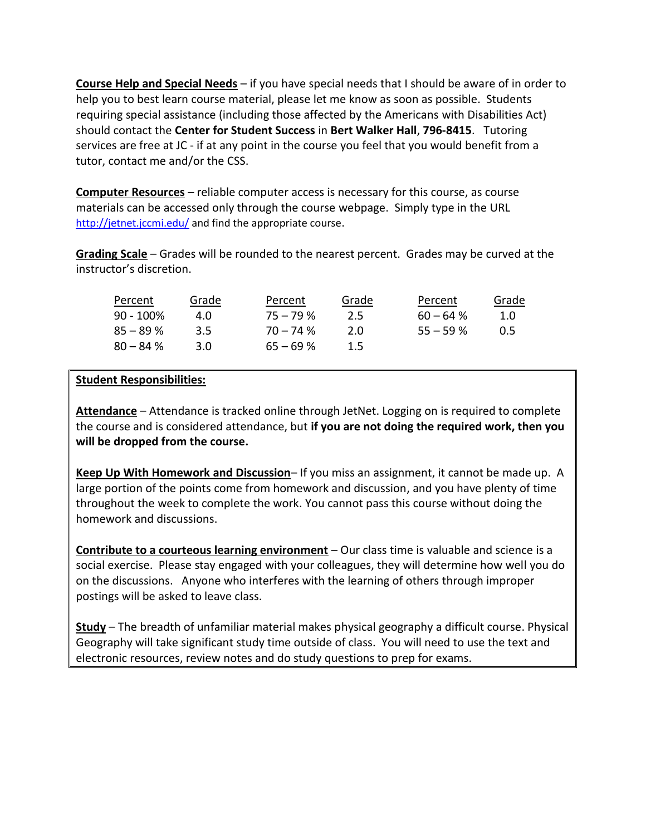**Course Help and Special Needs** – if you have special needs that I should be aware of in order to help you to best learn course material, please let me know as soon as possible. Students requiring special assistance (including those affected by the Americans with Disabilities Act) should contact the **Center for Student Success** in **Bert Walker Hall**, **796-8415**. Tutoring services are free at JC - if at any point in the course you feel that you would benefit from a tutor, contact me and/or the CSS.

**Computer Resources** – reliable computer access is necessary for this course, as course materials can be accessed only through the course webpage. Simply type in the URL <http://jetnet.jccmi.edu/> and find the appropriate course.

**Grading Scale** – Grades will be rounded to the nearest percent. Grades may be curved at the instructor's discretion.

| Percent      | Grade         | Percent    | Grade | Percent     | Grade |
|--------------|---------------|------------|-------|-------------|-------|
| $90 - 100\%$ | 4.0           | $75 - 79%$ | 2.5   | $60 - 64$ % | 1.0   |
| $85 - 89%$   | $3.5^{\circ}$ | $70 - 74%$ | 2.0   | $55 - 59%$  | O 5   |
| $80 - 84%$   | 3.0           | $65 - 69%$ | 1.5   |             |       |

### **Student Responsibilities:**

**Attendance** – Attendance is tracked online through JetNet. Logging on is required to complete the course and is considered attendance, but **if you are not doing the required work, then you will be dropped from the course.**

**Keep Up With Homework and Discussion**– If you miss an assignment, it cannot be made up. A large portion of the points come from homework and discussion, and you have plenty of time throughout the week to complete the work. You cannot pass this course without doing the homework and discussions.

**Contribute to a courteous learning environment** – Our class time is valuable and science is a social exercise. Please stay engaged with your colleagues, they will determine how well you do on the discussions. Anyone who interferes with the learning of others through improper postings will be asked to leave class.

**Study** – The breadth of unfamiliar material makes physical geography a difficult course. Physical Geography will take significant study time outside of class. You will need to use the text and electronic resources, review notes and do study questions to prep for exams.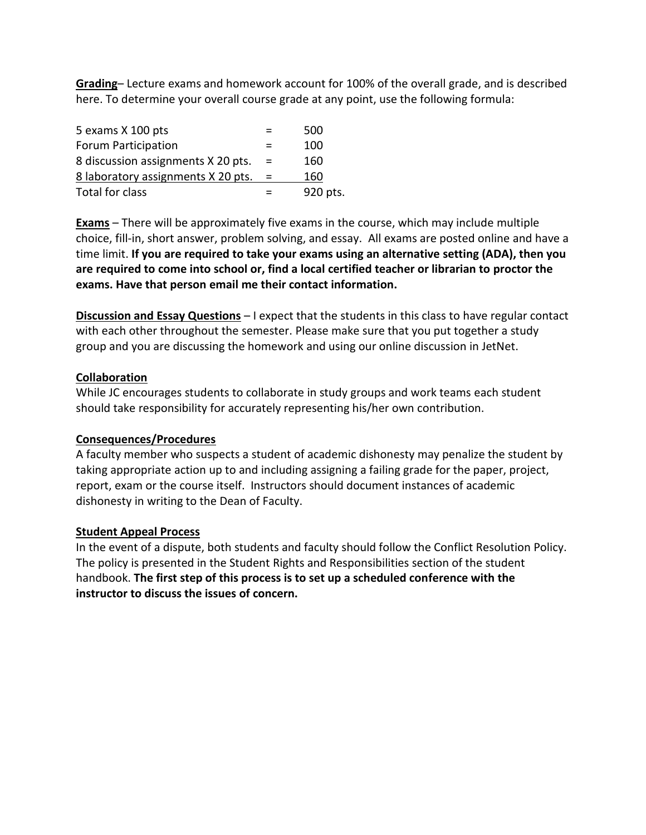**Grading**– Lecture exams and homework account for 100% of the overall grade, and is described here. To determine your overall course grade at any point, use the following formula:

| 5 exams X 100 pts                  |     | 500      |
|------------------------------------|-----|----------|
| Forum Participation                |     | 100      |
| 8 discussion assignments X 20 pts. | $=$ | 160      |
| 8 laboratory assignments X 20 pts. |     | 160      |
| Total for class                    |     | 920 pts. |

**Exams** – There will be approximately five exams in the course, which may include multiple choice, fill-in, short answer, problem solving, and essay. All exams are posted online and have a time limit. **If you are required to take your exams using an alternative setting (ADA), then you are required to come into school or, find a local certified teacher or librarian to proctor the exams. Have that person email me their contact information.** 

**Discussion and Essay Questions** – I expect that the students in this class to have regular contact with each other throughout the semester. Please make sure that you put together a study group and you are discussing the homework and using our online discussion in JetNet.

### **Collaboration**

While JC encourages students to collaborate in study groups and work teams each student should take responsibility for accurately representing his/her own contribution.

### **Consequences/Procedures**

A faculty member who suspects a student of academic dishonesty may penalize the student by taking appropriate action up to and including assigning a failing grade for the paper, project, report, exam or the course itself. Instructors should document instances of academic dishonesty in writing to the Dean of Faculty.

#### **Student Appeal Process**

In the event of a dispute, both students and faculty should follow the Conflict Resolution Policy. The policy is presented in the Student Rights and Responsibilities section of the student handbook. **The first step of this process is to set up a scheduled conference with the instructor to discuss the issues of concern.**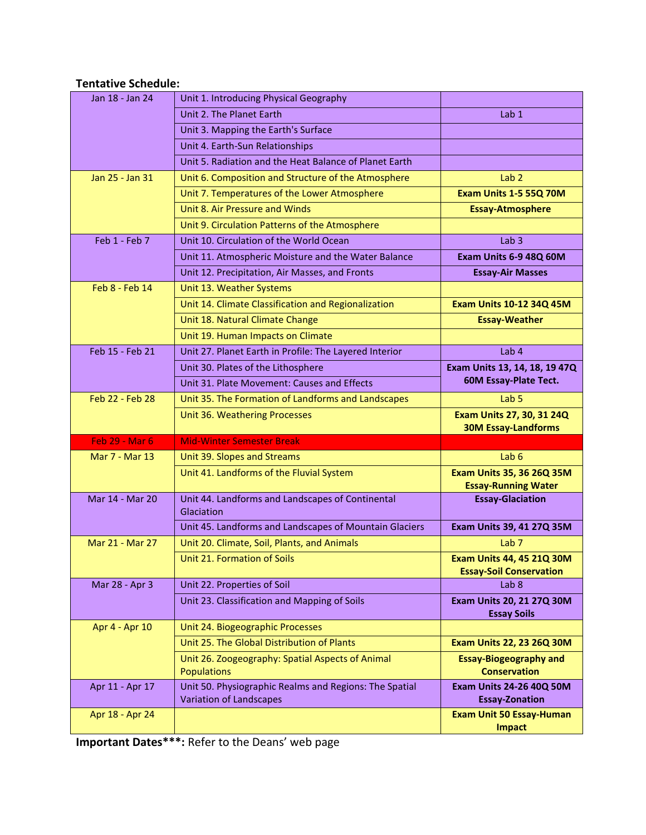# **Tentative Schedule:**

| Jan 18 - Jan 24       | Unit 1. Introducing Physical Geography                                         |                                                            |
|-----------------------|--------------------------------------------------------------------------------|------------------------------------------------------------|
|                       | Unit 2. The Planet Earth                                                       | Lab 1                                                      |
|                       | Unit 3. Mapping the Earth's Surface                                            |                                                            |
|                       | Unit 4. Earth-Sun Relationships                                                |                                                            |
|                       | Unit 5. Radiation and the Heat Balance of Planet Earth                         |                                                            |
| Jan 25 - Jan 31       | Unit 6. Composition and Structure of the Atmosphere                            | Lab <sub>2</sub>                                           |
|                       | Unit 7. Temperatures of the Lower Atmosphere                                   | Exam Units 1-5 55Q 70M                                     |
|                       | Unit 8. Air Pressure and Winds                                                 | <b>Essay-Atmosphere</b>                                    |
|                       | Unit 9. Circulation Patterns of the Atmosphere                                 |                                                            |
| Feb 1 - Feb 7         | Unit 10. Circulation of the World Ocean                                        | Lab <sub>3</sub>                                           |
|                       | Unit 11. Atmospheric Moisture and the Water Balance                            | Exam Units 6-9 48Q 60M                                     |
|                       | Unit 12. Precipitation, Air Masses, and Fronts                                 | <b>Essay-Air Masses</b>                                    |
| Feb 8 - Feb 14        | Unit 13. Weather Systems                                                       |                                                            |
|                       | Unit 14. Climate Classification and Regionalization                            | Exam Units 10-12 34Q 45M                                   |
|                       | Unit 18. Natural Climate Change                                                | <b>Essay-Weather</b>                                       |
|                       | Unit 19. Human Impacts on Climate                                              |                                                            |
| Feb 15 - Feb 21       | Unit 27. Planet Earth in Profile: The Layered Interior                         | Lab <sub>4</sub>                                           |
|                       | Unit 30. Plates of the Lithosphere                                             | Exam Units 13, 14, 18, 19 47Q                              |
|                       | Unit 31. Plate Movement: Causes and Effects                                    | 60M Essay-Plate Tect.                                      |
| Feb 22 - Feb 28       | Unit 35. The Formation of Landforms and Landscapes                             | Lab <sub>5</sub>                                           |
|                       |                                                                                |                                                            |
|                       | Unit 36. Weathering Processes                                                  | Exam Units 27, 30, 31 24Q                                  |
|                       |                                                                                | <b>30M Essay-Landforms</b>                                 |
| <b>Feb 29 - Mar 6</b> | <b>Mid-Winter Semester Break</b>                                               |                                                            |
| Mar 7 - Mar 13        | Unit 39. Slopes and Streams                                                    | Lab $6$                                                    |
|                       | Unit 41. Landforms of the Fluvial System                                       | Exam Units 35, 36 26Q 35M                                  |
|                       |                                                                                | <b>Essay-Running Water</b>                                 |
| Mar 14 - Mar 20       | Unit 44. Landforms and Landscapes of Continental<br>Glaciation                 | <b>Essay-Glaciation</b>                                    |
|                       | Unit 45. Landforms and Landscapes of Mountain Glaciers                         | Exam Units 39, 41 27Q 35M                                  |
| Mar 21 - Mar 27       | Unit 20. Climate, Soil, Plants, and Animals                                    | Lab <sub>7</sub>                                           |
|                       | Unit 21. Formation of Soils                                                    | Exam Units 44, 45 21Q 30M                                  |
|                       |                                                                                | <b>Essay-Soil Conservation</b>                             |
| Mar 28 - Apr 3        | Unit 22. Properties of Soil                                                    | Lab <sub>8</sub>                                           |
|                       | Unit 23. Classification and Mapping of Soils                                   | <b>Exam Units 20, 21 27Q 30M</b>                           |
|                       |                                                                                | <b>Essay Soils</b>                                         |
| Apr 4 - Apr 10        | Unit 24. Biogeographic Processes<br>Unit 25. The Global Distribution of Plants |                                                            |
|                       |                                                                                | Exam Units 22, 23 26Q 30M<br><b>Essay-Biogeography and</b> |
|                       | Unit 26. Zoogeography: Spatial Aspects of Animal<br><b>Populations</b>         | <b>Conservation</b>                                        |
| Apr 11 - Apr 17       | Unit 50. Physiographic Realms and Regions: The Spatial                         | <b>Exam Units 24-26 40Q 50M</b>                            |
|                       | <b>Variation of Landscapes</b>                                                 | <b>Essay-Zonation</b>                                      |
| Apr 18 - Apr 24       |                                                                                | <b>Exam Unit 50 Essay-Human</b><br><b>Impact</b>           |

**Important Dates\*\*\*:** Refer to the Deans' web page